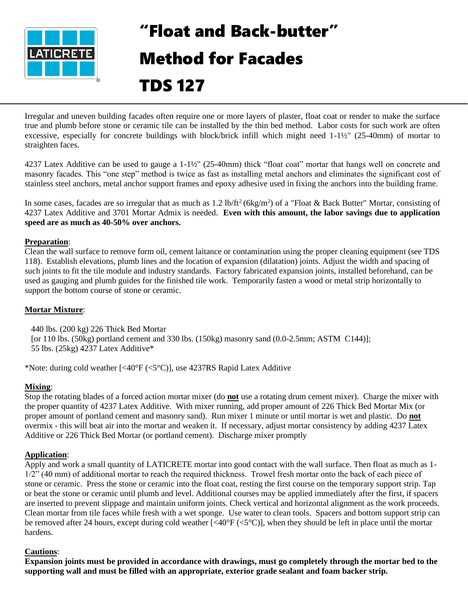

# "Float and Back-butter" Method for Facades

## TDS 127

Irregular and uneven building facades often require one or more layers of plaster, float coat or render to make the surface true and plumb before stone or ceramic tile can be installed by the thin bed method. Labor costs for such work are often excessive, especially for concrete buildings with block/brick infill which might need 1-1½" (25-40mm) of mortar to straighten faces.

4237 Latex Additive can be used to gauge a 1-1½" (25-40mm) thick "float coat" mortar that hangs well on concrete and masonry facades. This "one step" method is twice as fast as installing metal anchors and eliminates the significant cost of stainless steel anchors, metal anchor support frames and epoxy adhesive used in fixing the anchors into the building frame.

In some cases, facades are so irregular that as much as 1.2 lb/ft<sup>2</sup> (6kg/m<sup>2</sup>) of a "Float & Back Butter" Mortar, consisting of 4237 Latex Additive and 3701 Mortar Admix is needed. **Even with this amount, the labor savings due to application speed are as much as 40-50% over anchors.**

#### **Preparation**:

Clean the wall surface to remove form oil, cement laitance or contamination using the proper cleaning equipment (see TDS 118). Establish elevations, plumb lines and the location of expansion (dilatation) joints. Adjust the width and spacing of such joints to fit the tile module and industry standards. Factory fabricated expansion joints, installed beforehand, can be used as gauging and plumb guides for the finished tile work. Temporarily fasten a wood or metal strip horizontally to support the bottom course of stone or ceramic.

#### **Mortar Mixture**:

 440 lbs. (200 kg) 226 Thick Bed Mortar [or 110 lbs.  $(50kg)$  portland cement and 330 lbs.  $(150kg)$  masonry sand  $(0.0-2.5mm; ASTM C144)$ ]; 55 lbs. (25kg) 4237 Latex Additive\*

\*Note: during cold weather [<40°F (<5°C)], use 4237RS Rapid Latex Additive

#### **Mixing**:

Stop the rotating blades of a forced action mortar mixer (do **not** use a rotating drum cement mixer). Charge the mixer with the proper quantity of 4237 Latex Additive. With mixer running, add proper amount of 226 Thick Bed Mortar Mix (or proper amount of portland cement and masonry sand). Run mixer 1 minute or until mortar is wet and plastic. Do **not** overmix - this will beat air into the mortar and weaken it. If necessary, adjust mortar consistency by adding 4237 Latex Additive or 226 Thick Bed Mortar (or portland cement). Discharge mixer promptly

#### **Application**:

Apply and work a small quantity of LATICRETE mortar into good contact with the wall surface. Then float as much as 1- 1/2" (40 mm) of additional mortar to reach the required thickness. Trowel fresh mortar onto the back of each piece of stone or ceramic. Press the stone or ceramic into the float coat, resting the first course on the temporary support strip. Tap or beat the stone or ceramic until plumb and level. Additional courses may be applied immediately after the first, if spacers are inserted to prevent slippage and maintain uniform joints. Check vertical and horizontal alignment as the work proceeds. Clean mortar from tile faces while fresh with a wet sponge. Use water to clean tools. Spacers and bottom support strip can be removed after 24 hours, except during cold weather [<40°F (<5°C)], when they should be left in place until the mortar hardens.

#### **Cautions**:

**Expansion joints must be provided in accordance with drawings, must go completely through the mortar bed to the supporting wall and must be filled with an appropriate, exterior grade sealant and foam backer strip.**